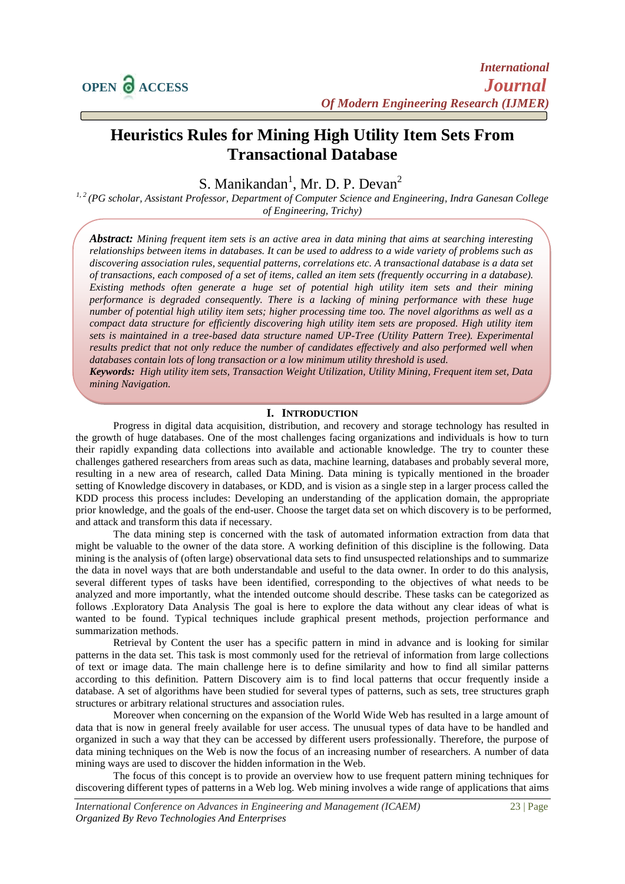# **Heuristics Rules for Mining High Utility Item Sets From Transactional Database**

S. Manikandan<sup>1</sup>, Mr. D. P. Devan<sup>2</sup>

*1, 2 (PG scholar, Assistant Professor, Department of Computer Science and Engineering, Indra Ganesan College of Engineering, Trichy)*

*Abstract: Mining frequent item sets is an active area in data mining that aims at searching interesting relationships between items in databases. It can be used to address to a wide variety of problems such as discovering association rules, sequential patterns, correlations etc. A transactional database is a data set of transactions, each composed of a set of items, called an item sets (frequently occurring in a database). Existing methods often generate a huge set of potential high utility item sets and their mining performance is degraded consequently. There is a lacking of mining performance with these huge number of potential high utility item sets; higher processing time too. The novel algorithms as well as a compact data structure for efficiently discovering high utility item sets are proposed. High utility item sets is maintained in a tree-based data structure named UP-Tree (Utility Pattern Tree). Experimental results predict that not only reduce the number of candidates effectively and also performed well when databases contain lots of long transaction or a low minimum utility threshold is used.*

*Keywords: High utility item sets, Transaction Weight Utilization, Utility Mining, Frequent item set, Data mining Navigation.*

# **I. INTRODUCTION**

Progress in digital data acquisition, distribution, and recovery and storage technology has resulted in the growth of huge databases. One of the most challenges facing organizations and individuals is how to turn their rapidly expanding data collections into available and actionable knowledge. The try to counter these challenges gathered researchers from areas such as data, machine learning, databases and probably several more, resulting in a new area of research, called Data Mining. Data mining is typically mentioned in the broader setting of Knowledge discovery in databases, or KDD, and is vision as a single step in a larger process called the KDD process this process includes: Developing an understanding of the application domain, the appropriate prior knowledge, and the goals of the end-user. Choose the target data set on which discovery is to be performed, and attack and transform this data if necessary.

The data mining step is concerned with the task of automated information extraction from data that might be valuable to the owner of the data store. A working definition of this discipline is the following. Data mining is the analysis of (often large) observational data sets to find unsuspected relationships and to summarize the data in novel ways that are both understandable and useful to the data owner. In order to do this analysis, several different types of tasks have been identified, corresponding to the objectives of what needs to be analyzed and more importantly, what the intended outcome should describe. These tasks can be categorized as follows .Exploratory Data Analysis The goal is here to explore the data without any clear ideas of what is wanted to be found. Typical techniques include graphical present methods, projection performance and summarization methods.

Retrieval by Content the user has a specific pattern in mind in advance and is looking for similar patterns in the data set. This task is most commonly used for the retrieval of information from large collections of text or image data. The main challenge here is to define similarity and how to find all similar patterns according to this definition. Pattern Discovery aim is to find local patterns that occur frequently inside a database. A set of algorithms have been studied for several types of patterns, such as sets, tree structures graph structures or arbitrary relational structures and association rules.

Moreover when concerning on the expansion of the World Wide Web has resulted in a large amount of data that is now in general freely available for user access. The unusual types of data have to be handled and organized in such a way that they can be accessed by different users professionally. Therefore, the purpose of data mining techniques on the Web is now the focus of an increasing number of researchers. A number of data mining ways are used to discover the hidden information in the Web.

The focus of this concept is to provide an overview how to use frequent pattern mining techniques for discovering different types of patterns in a Web log. Web mining involves a wide range of applications that aims

*International Conference on Advances in Engineering and Management (ICAEM)* 23 | Page *Organized By Revo Technologies And Enterprises*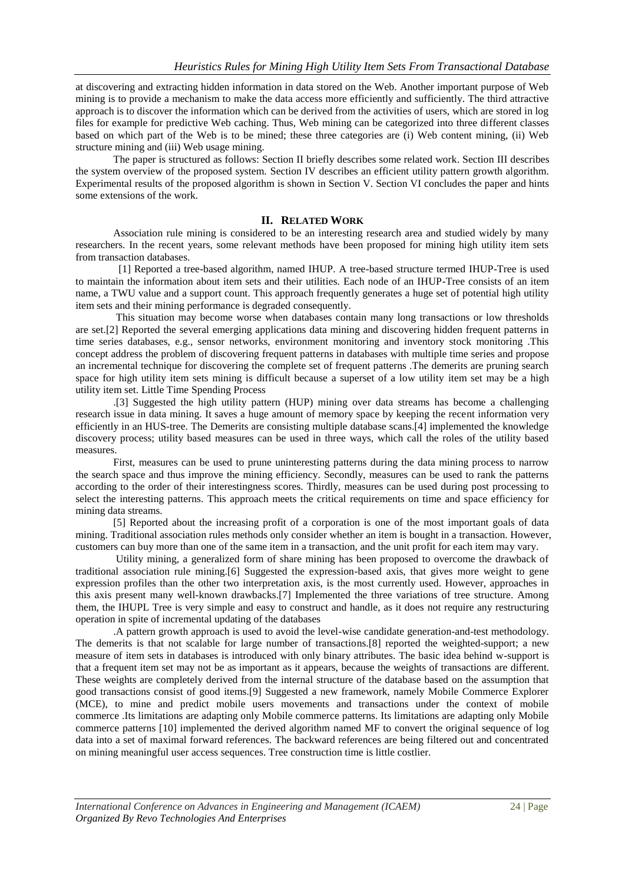at discovering and extracting hidden information in data stored on the Web. Another important purpose of Web mining is to provide a mechanism to make the data access more efficiently and sufficiently. The third attractive approach is to discover the information which can be derived from the activities of users, which are stored in log files for example for predictive Web caching. Thus, Web mining can be categorized into three different classes based on which part of the Web is to be mined; these three categories are (i) Web content mining, (ii) Web structure mining and (iii) Web usage mining.

The paper is structured as follows: Section II briefly describes some related work. Section III describes the system overview of the proposed system. Section IV describes an efficient utility pattern growth algorithm. Experimental results of the proposed algorithm is shown in Section V. Section VI concludes the paper and hints some extensions of the work.

## **II. RELATED WORK**

Association rule mining is considered to be an interesting research area and studied widely by many researchers. In the recent years, some relevant methods have been proposed for mining high utility item sets from transaction databases.

[1] Reported a tree-based algorithm, named IHUP. A tree-based structure termed IHUP-Tree is used to maintain the information about item sets and their utilities. Each node of an IHUP-Tree consists of an item name, a TWU value and a support count. This approach frequently generates a huge set of potential high utility item sets and their mining performance is degraded consequently.

This situation may become worse when databases contain many long transactions or low thresholds are set.[2] Reported the several emerging applications data mining and discovering hidden frequent patterns in time series databases, e.g., sensor networks, environment monitoring and inventory stock monitoring .This concept address the problem of discovering frequent patterns in databases with multiple time series and propose an incremental technique for discovering the complete set of frequent patterns .The demerits are pruning search space for high utility item sets mining is difficult because a superset of a low utility item set may be a high utility item set. Little Time Spending Process

.[3] Suggested the high utility pattern (HUP) mining over data streams has become a challenging research issue in data mining. It saves a huge amount of memory space by keeping the recent information very efficiently in an HUS-tree. The Demerits are consisting multiple database scans.[4] implemented the knowledge discovery process; utility based measures can be used in three ways, which call the roles of the utility based measures.

First, measures can be used to prune uninteresting patterns during the data mining process to narrow the search space and thus improve the mining efficiency. Secondly, measures can be used to rank the patterns according to the order of their interestingness scores. Thirdly, measures can be used during post processing to select the interesting patterns. This approach meets the critical requirements on time and space efficiency for mining data streams.

[5] Reported about the increasing profit of a corporation is one of the most important goals of data mining. Traditional association rules methods only consider whether an item is bought in a transaction. However, customers can buy more than one of the same item in a transaction, and the unit profit for each item may vary.

Utility mining, a generalized form of share mining has been proposed to overcome the drawback of traditional association rule mining.[6] Suggested the expression-based axis, that gives more weight to gene expression profiles than the other two interpretation axis, is the most currently used. However, approaches in this axis present many well-known drawbacks.[7] Implemented the three variations of tree structure. Among them, the IHUPL Tree is very simple and easy to construct and handle, as it does not require any restructuring operation in spite of incremental updating of the databases

.A pattern growth approach is used to avoid the level-wise candidate generation-and-test methodology. The demerits is that not scalable for large number of transactions.[8] reported the weighted-support; a new measure of item sets in databases is introduced with only binary attributes. The basic idea behind w-support is that a frequent item set may not be as important as it appears, because the weights of transactions are different. These weights are completely derived from the internal structure of the database based on the assumption that good transactions consist of good items.[9] Suggested a new framework, namely Mobile Commerce Explorer (MCE), to mine and predict mobile users movements and transactions under the context of mobile commerce .Its limitations are adapting only Mobile commerce patterns. Its limitations are adapting only Mobile commerce patterns [10] implemented the derived algorithm named MF to convert the original sequence of log data into a set of maximal forward references. The backward references are being filtered out and concentrated on mining meaningful user access sequences. Tree construction time is little costlier.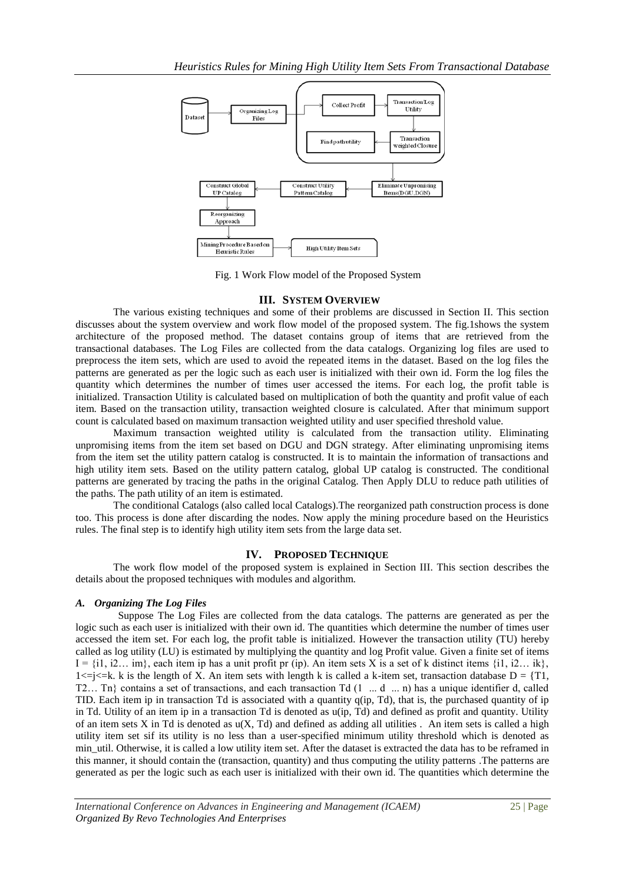

Fig. 1 Work Flow model of the Proposed System

## **III. SYSTEM OVERVIEW**

The various existing techniques and some of their problems are discussed in Section II. This section discusses about the system overview and work flow model of the proposed system. The fig.1shows the system architecture of the proposed method. The dataset contains group of items that are retrieved from the transactional databases. The Log Files are collected from the data catalogs. Organizing log files are used to preprocess the item sets, which are used to avoid the repeated items in the dataset. Based on the log files the patterns are generated as per the logic such as each user is initialized with their own id. Form the log files the quantity which determines the number of times user accessed the items. For each log, the profit table is initialized. Transaction Utility is calculated based on multiplication of both the quantity and profit value of each item. Based on the transaction utility, transaction weighted closure is calculated. After that minimum support count is calculated based on maximum transaction weighted utility and user specified threshold value.

Maximum transaction weighted utility is calculated from the transaction utility. Eliminating unpromising items from the item set based on DGU and DGN strategy. After eliminating unpromising items from the item set the utility pattern catalog is constructed. It is to maintain the information of transactions and high utility item sets. Based on the utility pattern catalog, global UP catalog is constructed. The conditional patterns are generated by tracing the paths in the original Catalog. Then Apply DLU to reduce path utilities of the paths. The path utility of an item is estimated.

The conditional Catalogs (also called local Catalogs).The reorganized path construction process is done too. This process is done after discarding the nodes. Now apply the mining procedure based on the Heuristics rules. The final step is to identify high utility item sets from the large data set.

## **IV. PROPOSED TECHNIQUE**

The work flow model of the proposed system is explained in Section III. This section describes the details about the proposed techniques with modules and algorithm.

# *A. Organizing The Log Files*

Suppose The Log Files are collected from the data catalogs. The patterns are generated as per the logic such as each user is initialized with their own id. The quantities which determine the number of times user accessed the item set. For each log, the profit table is initialized. However the transaction utility (TU) hereby called as log utility (LU) is estimated by multiplying the quantity and log Profit value. Given a finite set of items  $I = \{i1, i2... \text{ im}\}\)$ , each item ip has a unit profit pr (ip). An item sets X is a set of k distinct items  $\{i1, i2... \text{ ik}\}\$  $1 \le j \le k$ . k is the length of X. An item sets with length k is called a k-item set, transaction database  $D = \{T1,$ T2… Tn} contains a set of transactions, and each transaction Td (1 ... d ... n) has a unique identifier d, called TID. Each item ip in transaction Td is associated with a quantity q(ip, Td), that is, the purchased quantity of ip in Td. Utility of an item ip in a transaction Td is denoted as u(ip, Td) and defined as profit and quantity. Utility of an item sets X in Td is denoted as  $u(X, Td)$  and defined as adding all utilities . An item sets is called a high utility item set sif its utility is no less than a user-specified minimum utility threshold which is denoted as min util. Otherwise, it is called a low utility item set. After the dataset is extracted the data has to be reframed in this manner, it should contain the (transaction, quantity) and thus computing the utility patterns .The patterns are generated as per the logic such as each user is initialized with their own id. The quantities which determine the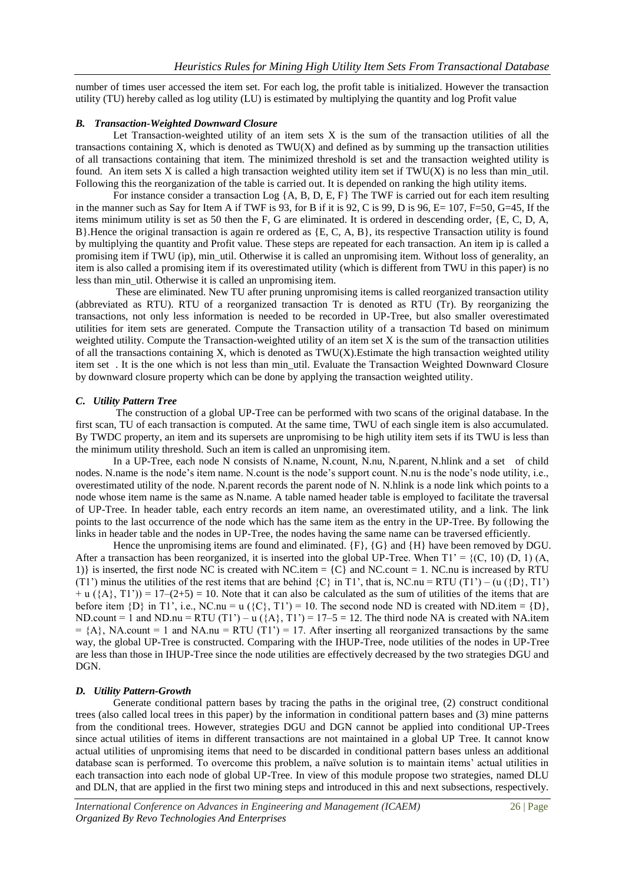number of times user accessed the item set. For each log, the profit table is initialized. However the transaction utility (TU) hereby called as log utility (LU) is estimated by multiplying the quantity and log Profit value

## *B. Transaction-Weighted Downward Closure*

Let Transaction-weighted utility of an item sets X is the sum of the transaction utilities of all the transactions containing X, which is denoted as  $TWU(X)$  and defined as by summing up the transaction utilities of all transactions containing that item. The minimized threshold is set and the transaction weighted utility is found. An item sets X is called a high transaction weighted utility item set if  $TWU(X)$  is no less than min\_util. Following this the reorganization of the table is carried out. It is depended on ranking the high utility items.

For instance consider a transaction Log {A, B, D, E, F} The TWF is carried out for each item resulting in the manner such as Say for Item A if TWF is 93, for B if it is 92, C is 99, D is 96, E=  $107$ , F=50, G=45, If the items minimum utility is set as 50 then the F, G are eliminated. It is ordered in descending order, {E, C, D, A, B}.Hence the original transaction is again re ordered as {E, C, A, B}, its respective Transaction utility is found by multiplying the quantity and Profit value. These steps are repeated for each transaction. An item ip is called a promising item if TWU (ip), min\_util. Otherwise it is called an unpromising item. Without loss of generality, an item is also called a promising item if its overestimated utility (which is different from TWU in this paper) is no less than min\_util. Otherwise it is called an unpromising item.

These are eliminated. New TU after pruning unpromising items is called reorganized transaction utility (abbreviated as RTU). RTU of a reorganized transaction Tr is denoted as RTU (Tr). By reorganizing the transactions, not only less information is needed to be recorded in UP-Tree, but also smaller overestimated utilities for item sets are generated. Compute the Transaction utility of a transaction Td based on minimum weighted utility. Compute the Transaction-weighted utility of an item set  $X$  is the sum of the transaction utilities of all the transactions containing X, which is denoted as TWU(X).Estimate the high transaction weighted utility item set . It is the one which is not less than min\_util. Evaluate the Transaction Weighted Downward Closure by downward closure property which can be done by applying the transaction weighted utility.

#### *C***.** *Utility Pattern Tree*

The construction of a global UP-Tree can be performed with two scans of the original database. In the first scan, TU of each transaction is computed. At the same time, TWU of each single item is also accumulated. By TWDC property, an item and its supersets are unpromising to be high utility item sets if its TWU is less than the minimum utility threshold. Such an item is called an unpromising item.

In a UP-Tree, each node N consists of N.name, N.count, N.nu, N.parent, N.hlink and a set of child nodes. N.name is the node's item name. N.count is the node's support count. N.nu is the node's node utility, i.e., overestimated utility of the node. N.parent records the parent node of N. N.hlink is a node link which points to a node whose item name is the same as N.name. A table named header table is employed to facilitate the traversal of UP-Tree. In header table, each entry records an item name, an overestimated utility, and a link. The link points to the last occurrence of the node which has the same item as the entry in the UP-Tree. By following the links in header table and the nodes in UP-Tree, the nodes having the same name can be traversed efficiently.

Hence the unpromising items are found and eliminated. {F}, {G} and {H} have been removed by DGU. After a transaction has been reorganized, it is inserted into the global UP-Tree. When  $T1' = {(C, 10) (D, 1) (A, 1)}$ 1)} is inserted, the first node NC is created with NC.item =  $\{C\}$  and NC.count = 1. NC.nu is increased by RTU (T1') minus the utilities of the rest items that are behind  $\{C\}$  in T1', that is, NC.nu = RTU (T1') – (u ( $\{D\}$ , T1')  $+ u (\{A\}, T1')) = 17-(2+5) = 10$ . Note that it can also be calculated as the sum of utilities of the items that are before item  $\{D\}$  in T1', i.e., NC.nu = u  $(\{C\}, T1') = 10$ . The second node ND is created with ND.item =  $\{D\}$ , ND.count = 1 and ND.nu = RTU (T1') – u  $({A}, T1') = 17-5 = 12$ . The third node NA is created with NA.item  $= {A}$ , NA.count = 1 and NA.nu = RTU (T1') = 17. After inserting all reorganized transactions by the same way, the global UP-Tree is constructed. Comparing with the IHUP-Tree, node utilities of the nodes in UP-Tree are less than those in IHUP-Tree since the node utilities are effectively decreased by the two strategies DGU and DGN.

#### *D.**Utility Pattern-Growth*

Generate conditional pattern bases by tracing the paths in the original tree, (2) construct conditional trees (also called local trees in this paper) by the information in conditional pattern bases and (3) mine patterns from the conditional trees. However, strategies DGU and DGN cannot be applied into conditional UP-Trees since actual utilities of items in different transactions are not maintained in a global UP Tree. It cannot know actual utilities of unpromising items that need to be discarded in conditional pattern bases unless an additional database scan is performed. To overcome this problem, a naïve solution is to maintain items' actual utilities in each transaction into each node of global UP-Tree. In view of this module propose two strategies, named DLU and DLN, that are applied in the first two mining steps and introduced in this and next subsections, respectively.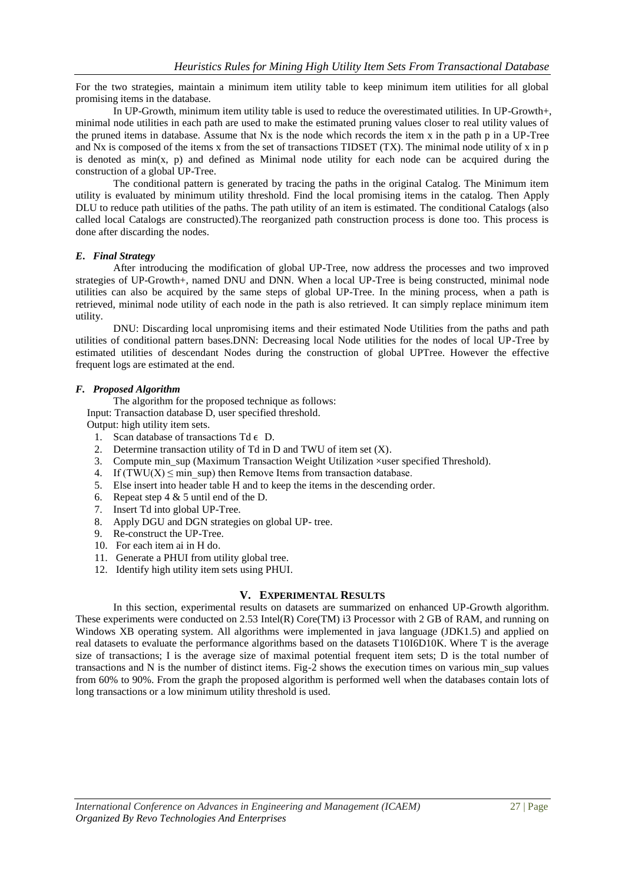For the two strategies, maintain a minimum item utility table to keep minimum item utilities for all global promising items in the database.

In UP-Growth, minimum item utility table is used to reduce the overestimated utilities. In UP-Growth+, minimal node utilities in each path are used to make the estimated pruning values closer to real utility values of the pruned items in database. Assume that Nx is the node which records the item x in the path p in a UP-Tree and Nx is composed of the items x from the set of transactions TIDSET (TX). The minimal node utility of x in p is denoted as  $min(x, p)$  and defined as Minimal node utility for each node can be acquired during the construction of a global UP-Tree.

The conditional pattern is generated by tracing the paths in the original Catalog. The Minimum item utility is evaluated by minimum utility threshold. Find the local promising items in the catalog. Then Apply DLU to reduce path utilities of the paths. The path utility of an item is estimated. The conditional Catalogs (also called local Catalogs are constructed).The reorganized path construction process is done too. This process is done after discarding the nodes.

# *E***.** *Final Strategy*

After introducing the modification of global UP-Tree, now address the processes and two improved strategies of UP-Growth+, named DNU and DNN. When a local UP-Tree is being constructed, minimal node utilities can also be acquired by the same steps of global UP-Tree. In the mining process, when a path is retrieved, minimal node utility of each node in the path is also retrieved. It can simply replace minimum item utility.

DNU: Discarding local unpromising items and their estimated Node Utilities from the paths and path utilities of conditional pattern bases.DNN: Decreasing local Node utilities for the nodes of local UP-Tree by estimated utilities of descendant Nodes during the construction of global UPTree. However the effective frequent logs are estimated at the end.

## *F. Proposed Algorithm*

The algorithm for the proposed technique as follows:

Input: Transaction database D, user specified threshold.

Output: high utility item sets.

- 1. Scan database of transactions  $Td \in D$ .
- 2. Determine transaction utility of Td in D and TWU of item set (X).
- 3. Compute min\_sup (Maximum Transaction Weight Utilization ×user specified Threshold).
- 4. If  $(TWU(X) \leq min \, \text{sup})$  then Remove Items from transaction database.
- 5. Else insert into header table H and to keep the items in the descending order.
- 6. Repeat step 4 & 5 until end of the D.
- 7. Insert Td into global UP-Tree.
- 8. Apply DGU and DGN strategies on global UP- tree.
- 9. Re-construct the UP-Tree.
- 10. For each item ai in H do.
- 11. Generate a PHUI from utility global tree.
- 12. Identify high utility item sets using PHUI.

# **V. EXPERIMENTAL RESULTS**

In this section, experimental results on datasets are summarized on enhanced UP-Growth algorithm. These experiments were conducted on 2.53 Intel(R) Core(TM) i3 Processor with 2 GB of RAM, and running on Windows XB operating system. All algorithms were implemented in java language (JDK1.5) and applied on real datasets to evaluate the performance algorithms based on the datasets T10I6D10K. Where T is the average size of transactions; I is the average size of maximal potential frequent item sets; D is the total number of transactions and N is the number of distinct items. Fig-2 shows the execution times on various min\_sup values from 60% to 90%. From the graph the proposed algorithm is performed well when the databases contain lots of long transactions or a low minimum utility threshold is used.